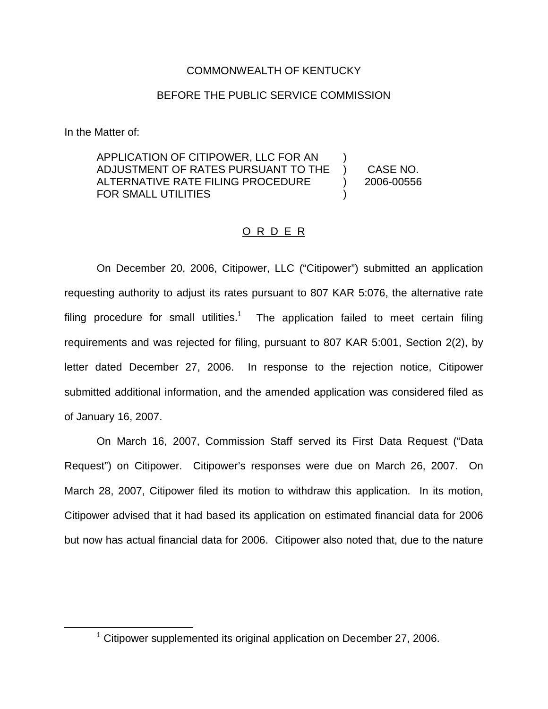## COMMONWEALTH OF KENTUCKY

## BEFORE THE PUBLIC SERVICE COMMISSION

In the Matter of:

APPLICATION OF CITIPOWER, LLC FOR AN ADJUSTMENT OF RATES PURSUANT TO THE ALTERNATIVE RATE FILING PROCEDURE FOR SMALL UTILITIES ) ) CASE NO. ) 2006-00556 )

## O R D E R

On December 20, 2006, Citipower, LLC ("Citipower") submitted an application requesting authority to adjust its rates pursuant to 807 KAR 5:076, the alternative rate filing procedure for small utilities.<sup>1</sup> The application failed to meet certain filing requirements and was rejected for filing, pursuant to 807 KAR 5:001, Section 2(2), by letter dated December 27, 2006. In response to the rejection notice, Citipower submitted additional information, and the amended application was considered filed as of January 16, 2007.

On March 16, 2007, Commission Staff served its First Data Request ("Data Request") on Citipower. Citipower's responses were due on March 26, 2007. On March 28, 2007, Citipower filed its motion to withdraw this application. In its motion, Citipower advised that it had based its application on estimated financial data for 2006 but now has actual financial data for 2006. Citipower also noted that, due to the nature

<sup>&</sup>lt;sup>1</sup> Citipower supplemented its original application on December 27, 2006.